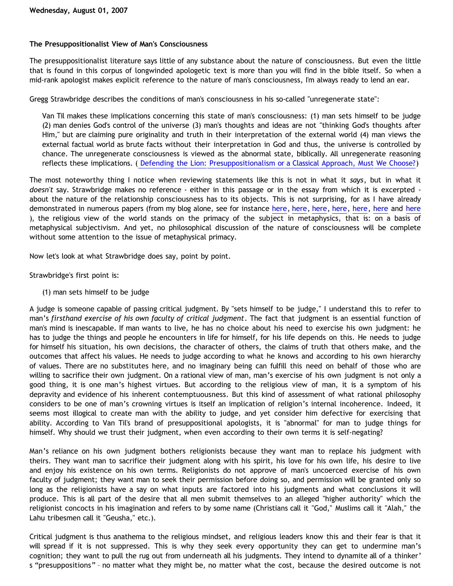## **The Presuppositionalist View of Man's Consciousness**

The presuppositionalist literature says little of any substance about the nature of consciousness. But even the little that is found in this corpus of longwinded apologetic text is more than you will find in the bible itself. So when a mid-rank apologist makes explicit reference to the nature of man's consciousness, I'm always ready to lend an ear.

Gregg Strawbridge describes the conditions of man's consciousness in his so-called "unregenerate state":

Van Til makes these implications concerning this state of man's consciousness: (1) man sets himself to be judge (2) man denies God's control of the universe (3) man's thoughts and ideas are not "thinking God's thoughts after Him," but are claiming pure originality and truth in their interpretation of the external world (4) man views the external factual world as brute facts without their interpretation in God and thus, the universe is controlled by chance. The unregenerate consciousness is viewed as the abnormal state, biblically. All unregenerate reasoning reflects these implications. ( [Defending the Lion: Presuppositionalism or a Classical Approach, Must We Choose?](http://www.wordmp3.com/gs/presuppbible.htm))

The most noteworthy thing I notice when reviewing statements like this is not in what it *says*, but in what it *doesn't* say. Strawbridge makes no reference - either in this passage or in the essay from which it is excerpted about the nature of the relationship consciousness has to its objects. This is not surprising, for as I have already demonstrated in numerous papers (from my blog alone, see for instance [here,](http://bahnsenburner.blogspot.com/2006/12/axioms-and-primacy-of-existence.html) [here](http://bahnsenburner.blogspot.com/2006/12/theism-and-subjective-metaphysics.html), here, here, here, here and here ), the religious view of the world stands on the primacy of the subject in metaphysics, that is: on a basis of metaphysical subjectivism. And yet, no philosophical discussion of the nature of consciousness will be complete without some attention to the issue of metaphysical primacy.

Now let's look at what Strawbridge does say, point by point.

Strawbridge's first point is:

(1) man sets himself to be judge

A judge is someone capable of passing critical judgment. By "sets himself to be judge," I understand this to refer to man's *firsthand exercise of his own faculty of critical judgment*. The fact that judgment is an essential function of man's mind is inescapable. If man wants to live, he has no choice about his need to exercise his own judgment: he has to judge the things and people he encounters in life for himself, for his life depends on this. He needs to judge for himself his situation, his own decisions, the character of others, the claims of truth that others make, and the outcomes that affect his values. He needs to judge according to what he knows and according to his own hierarchy of values. There are no substitutes here, and no imaginary being can fulfill this need on behalf of those who are willing to sacrifice their own judgment. On a rational view of man, man's exercise of his own judgment is not only a good thing, it is one man's highest virtues. But according to the religious view of man, it is a symptom of his depravity and evidence of his inherent contemptuousness. But this kind of assessment of what rational philosophy considers to be one of man's crowning virtues is itself an implication of religion's internal incoherence. Indeed, it seems most illogical to create man with the ability to judge, and yet consider him defective for exercising that ability. According to Van Til's brand of presuppositional apologists, it is "abnormal" for man to judge things for himself. Why should we trust their judgment, when even according to their own terms it is self-negating?

Man's reliance on his own judgment bothers religionists because they want man to replace his judgment with theirs. They want man to sacrifice their judgment along with his spirit, his love for his own life, his desire to live and enjoy his existence on his own terms. Religionists do not approve of man's uncoerced exercise of his own faculty of judgment; they want man to seek their permission before doing so, and permission will be granted only so long as the religionists have a say on what inputs are factored into his judgments and what conclusions it will produce. This is all part of the desire that all men submit themselves to an alleged "higher authority" which the religionist concocts in his imagination and refers to by some name (Christians call it "God," Muslims call it "Alah," the Lahu tribesmen call it "Geusha," etc.).

Critical judgment is thus anathema to the religious mindset, and religious leaders know this and their fear is that it will spread if it is not suppressed. This is why they seek every opportunity they can get to undermine man's cognition; they want to pull the rug out from underneath all his judgments. They intend to dynamite all of a thinker' s "presuppositions" – no matter what they might be, no matter what the cost, because the desired outcome is not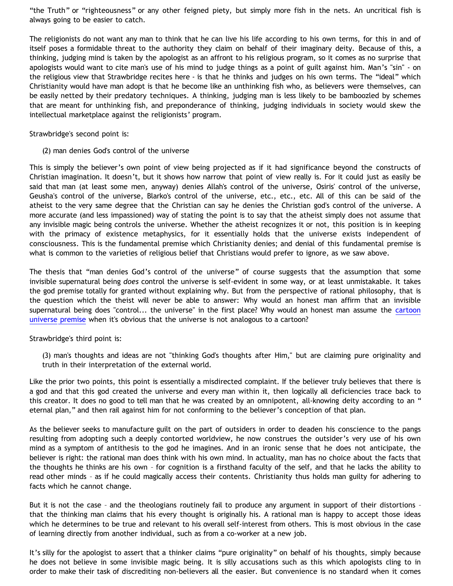"the Truth" or "righteousness" or any other feigned piety, but simply more fish in the nets. An uncritical fish is always going to be easier to catch.

The religionists do not want any man to think that he can live his life according to his own terms, for this in and of itself poses a formidable threat to the authority they claim on behalf of their imaginary deity. Because of this, a thinking, judging mind is taken by the apologist as an affront to his religious program, so it comes as no surprise that apologists would want to cite man's use of his mind to judge things as a point of guilt against him. Man's "sin" - on the religious view that Strawbridge recites here - is that he thinks and judges on his own terms. The "ideal" which Christianity would have man adopt is that he become like an unthinking fish who, as believers were themselves, can be easily netted by their predatory techniques. A thinking, judging man is less likely to be bamboozled by schemes that are meant for unthinking fish, and preponderance of thinking, judging individuals in society would skew the intellectual marketplace against the religionists' program.

Strawbridge's second point is:

(2) man denies God's control of the universe

This is simply the believer's own point of view being projected as if it had significance beyond the constructs of Christian imagination. It doesn't, but it shows how narrow that point of view really is. For it could just as easily be said that man (at least some men, anyway) denies Allah's control of the universe, Osiris' control of the universe, Geusha's control of the universe, Blarko's control of the universe, etc., etc., etc. All of this can be said of the atheist to the very same degree that the Christian can say he denies the Christian god's control of the universe. A more accurate (and less impassioned) way of stating the point is to say that the atheist simply does not assume that any invisible magic being controls the universe. Whether the atheist recognizes it or not, this position is in keeping with the primacy of existence metaphysics, for it essentially holds that the universe exists independent of consciousness. This is the fundamental premise which Christianity denies; and denial of this fundamental premise is what is common to the varieties of religious belief that Christians would prefer to ignore, as we saw above.

The thesis that "man denies God's control of the universe" of course suggests that the assumption that some invisible supernatural being *does* control the universe is self-evident in some way, or at least unmistakable. It takes the god premise totally for granted without explaining why. But from the perspective of rational philosophy, that is the question which the theist will never be able to answer: Why would an honest man affirm that an invisible supernatural being does "control... the universe" in the first place? Why would an honest man assume the [cartoon](http://bahnsenburner.blogspot.com/2005/03/cartoon-universe-of-theism.html) [universe premise](http://bahnsenburner.blogspot.com/2005/03/cartoon-universe-of-theism.html) when it's obvious that the universe is not analogous to a cartoon?

## Strawbridge's third point is:

(3) man's thoughts and ideas are not "thinking God's thoughts after Him," but are claiming pure originality and truth in their interpretation of the external world.

Like the prior two points, this point is essentially a misdirected complaint. If the believer truly believes that there is a god and that this god created the universe and every man within it, then logically all deficiencies trace back to this creator. It does no good to tell man that he was created by an omnipotent, all-knowing deity according to an " eternal plan," and then rail against him for not conforming to the believer's conception of that plan.

As the believer seeks to manufacture guilt on the part of outsiders in order to deaden his conscience to the pangs resulting from adopting such a deeply contorted worldview, he now construes the outsider's very use of his own mind as a symptom of antithesis to the god he imagines. And in an ironic sense that he does not anticipate, the believer is right: the rational man does think with his own mind. In actuality, man has no choice about the facts that the thoughts he thinks are his own – for cognition is a firsthand faculty of the self, and that he lacks the ability to read other minds – as if he could magically access their contents. Christianity thus holds man guilty for adhering to facts which he cannot change.

But it is not the case – and the theologians routinely fail to produce any argument in support of their distortions – that the thinking man claims that his every thought is originally his. A rational man is happy to accept those ideas which he determines to be true and relevant to his overall self-interest from others. This is most obvious in the case of learning directly from another individual, such as from a co-worker at a new job.

It's silly for the apologist to assert that a thinker claims "pure originality" on behalf of his thoughts, simply because he does not believe in some invisible magic being. It is silly accusations such as this which apologists cling to in order to make their task of discrediting non-believers all the easier. But convenience is no standard when it comes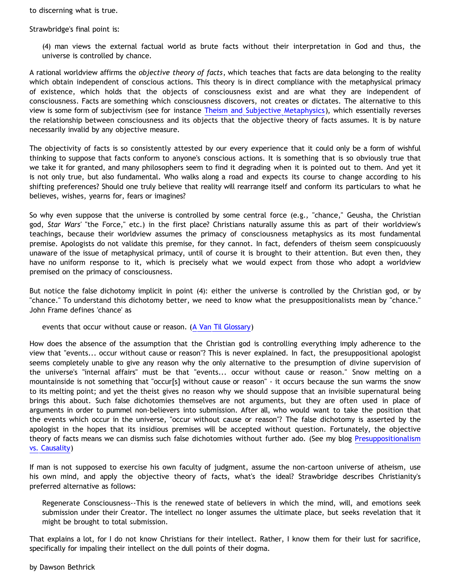to discerning what is true.

Strawbridge's final point is:

(4) man views the external factual world as brute facts without their interpretation in God and thus, the universe is controlled by chance.

A rational worldview affirms the *objective theory of facts*, which teaches that facts are data belonging to the reality which obtain independent of conscious actions. This theory is in direct compliance with the metaphysical primacy of existence, which holds that the objects of consciousness exist and are what they are independent of consciousness. Facts are something which consciousness discovers, not creates or dictates. The alternative to this view is some form of subjectivism (see for instance [Theism and Subjective Metaphysics\)](http://bahnsenburner.blogspot.com/2006/12/theism-and-subjective-metaphysics.html), which essentially reverses the relationship between consciousness and its objects that the objective theory of facts assumes. It is by nature necessarily invalid by any objective measure.

The objectivity of facts is so consistently attested by our every experience that it could only be a form of wishful thinking to suppose that facts conform to anyone's conscious actions. It is something that is so obviously true that we take it for granted, and many philosophers seem to find it degrading when it is pointed out to them. And yet it is not only true, but also fundamental. Who walks along a road and expects its course to change according to his shifting preferences? Should one truly believe that reality will rearrange itself and conform its particulars to what he believes, wishes, yearns for, fears or imagines?

So why even suppose that the universe is controlled by some central force (e.g., "chance," Geusha, the Christian god, *Star Wars'* "the Force," etc.) in the first place? Christians naturally assume this as part of their worldview's teachings, because their worldview assumes the primacy of consciousness metaphysics as its most fundamental premise. Apologists do not validate this premise, for they cannot. In fact, defenders of theism seem conspicuously unaware of the issue of metaphysical primacy, until of course it is brought to their attention. But even then, they have no uniform response to it, which is precisely what we would expect from those who adopt a worldview premised on the primacy of consciousness.

But notice the false dichotomy implicit in point (4): either the universe is controlled by the Christian god, or by "chance." To understand this dichotomy better, we need to know what the presuppositionalists mean by "chance." John Frame defines 'chance' as

events that occur without cause or reason. ([A Van Til Glossary](http://www.frame-poythress.org/frame_articles/2000VanTilGlossary.html))

How does the absence of the assumption that the Christian god is controlling everything imply adherence to the view that "events... occur without cause or reason"? This is never explained. In fact, the presuppositional apologist seems completely unable to give any reason why the only alternative to the presumption of divine supervision of the universe's "internal affairs" must be that "events... occur without cause or reason." Snow melting on a mountainside is not something that "occur[s] without cause or reason" - it occurs because the sun warms the snow to its melting point; and yet the theist gives no reason why we should suppose that an invisible supernatural being brings this about. Such false dichotomies themselves are not arguments, but they are often used in place of arguments in order to pummel non-believers into submission. After all, who would want to take the position that the events which occur in the universe, "occur without cause or reason"? The false dichotomy is asserted by the apologist in the hopes that its insidious premises will be accepted without question. Fortunately, the objective theory of facts means we can dismiss such false dichotomies without further ado. (See my blog [Presuppositionalism](http://bahnsenburner.blogspot.com/2005/03/presuppositionalism-vs-causality.html) [vs. Causality\)](http://bahnsenburner.blogspot.com/2005/03/presuppositionalism-vs-causality.html)

If man is not supposed to exercise his own faculty of judgment, assume the non-cartoon universe of atheism, use his own mind, and apply the objective theory of facts, what's the ideal? Strawbridge describes Christianity's preferred alternative as follows:

Regenerate Consciousness--This is the renewed state of believers in which the mind, will, and emotions seek submission under their Creator. The intellect no longer assumes the ultimate place, but seeks revelation that it might be brought to total submission.

That explains a lot, for I do not know Christians for their intellect. Rather, I know them for their lust for sacrifice, specifically for impaling their intellect on the dull points of their dogma.